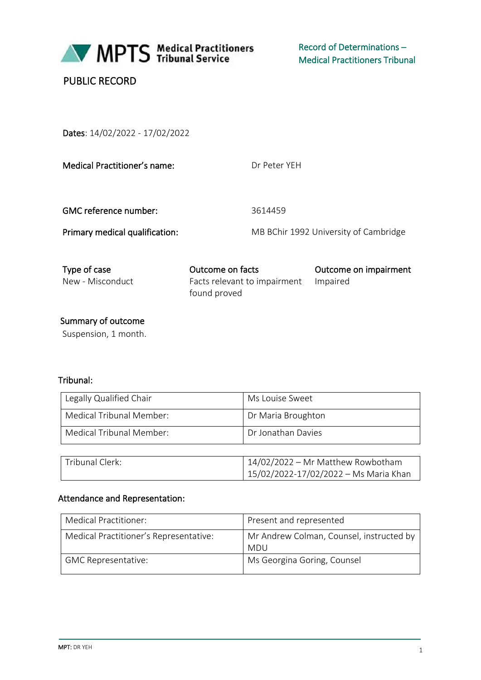

# PUBLIC RECORD

Dates: 14/02/2022 - 17/02/2022

| Medical Practitioner's name:     | Dr Peter YFH                                                     |                                       |
|----------------------------------|------------------------------------------------------------------|---------------------------------------|
| <b>GMC reference number:</b>     | 3614459                                                          |                                       |
| Primary medical qualification:   |                                                                  | MB BChir 1992 University of Cambridge |
| Type of case<br>New - Misconduct | Outcome on facts<br>Facts relevant to impairment<br>found proved | Outcome on impairment<br>Impaired     |

Summary of outcome

Suspension, 1 month.

## Tribunal:

| Legally Qualified Chair  | Ms Louise Sweet    |
|--------------------------|--------------------|
| Medical Tribunal Member: | Dr Maria Broughton |
| Medical Tribunal Member: | Dr Jonathan Davies |

| <sup>1</sup> Tribunal Clerk: | 14/02/2022 - Mr Matthew Rowbotham     |
|------------------------------|---------------------------------------|
|                              | 15/02/2022-17/02/2022 - Ms Maria Khan |

## Attendance and Representation:

| Medical Practitioner:                  | Present and represented                                |
|----------------------------------------|--------------------------------------------------------|
| Medical Practitioner's Representative: | Mr Andrew Colman, Counsel, instructed by<br><b>MDU</b> |
| <b>GMC Representative:</b>             | Ms Georgina Goring, Counsel                            |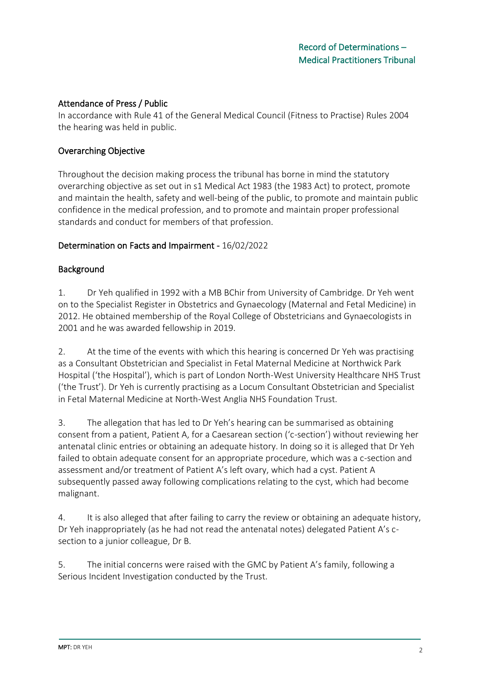#### Attendance of Press / Public

In accordance with Rule 41 of the General Medical Council (Fitness to Practise) Rules 2004 the hearing was held in public.

## Overarching Objective

Throughout the decision making process the tribunal has borne in mind the statutory overarching objective as set out in s1 Medical Act 1983 (the 1983 Act) to protect, promote and maintain the health, safety and well-being of the public, to promote and maintain public confidence in the medical profession, and to promote and maintain proper professional standards and conduct for members of that profession.

## Determination on Facts and Impairment - 16/02/2022

## Background

1. Dr Yeh qualified in 1992 with a MB BChir from University of Cambridge. Dr Yeh went on to the Specialist Register in Obstetrics and Gynaecology (Maternal and Fetal Medicine) in 2012. He obtained membership of the Royal College of Obstetricians and Gynaecologists in 2001 and he was awarded fellowship in 2019.

2. At the time of the events with which this hearing is concerned Dr Yeh was practising as a Consultant Obstetrician and Specialist in Fetal Maternal Medicine at Northwick Park Hospital ('the Hospital'), which is part of London North-West University Healthcare NHS Trust ('the Trust'). Dr Yeh is currently practising as a Locum Consultant Obstetrician and Specialist in Fetal Maternal Medicine at North-West Anglia NHS Foundation Trust.

3. The allegation that has led to Dr Yeh's hearing can be summarised as obtaining consent from a patient, Patient A, for a Caesarean section ('c-section') without reviewing her antenatal clinic entries or obtaining an adequate history. In doing so it is alleged that Dr Yeh failed to obtain adequate consent for an appropriate procedure, which was a c-section and assessment and/or treatment of Patient A's left ovary, which had a cyst. Patient A subsequently passed away following complications relating to the cyst, which had become malignant.

4. It is also alleged that after failing to carry the review or obtaining an adequate history, Dr Yeh inappropriately (as he had not read the antenatal notes) delegated Patient A's csection to a junior colleague, Dr B.

5. The initial concerns were raised with the GMC by Patient A's family, following a Serious Incident Investigation conducted by the Trust.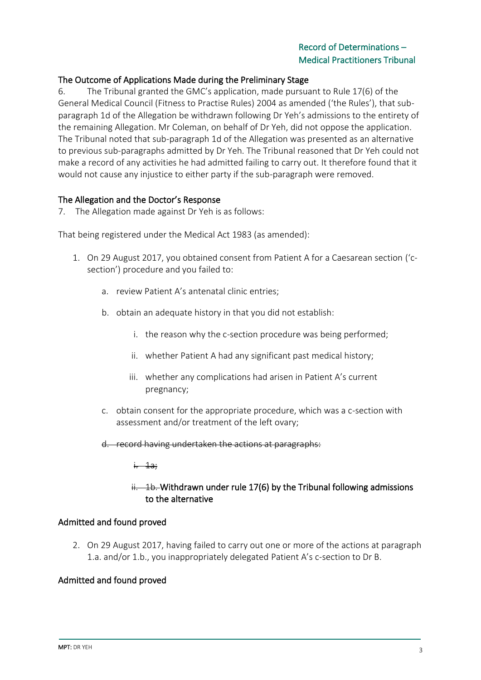## Record of Determinations – Medical Practitioners Tribunal

#### The Outcome of Applications Made during the Preliminary Stage

6. The Tribunal granted the GMC's application, made pursuant to Rule 17(6) of the General Medical Council (Fitness to Practise Rules) 2004 as amended ('the Rules'), that subparagraph 1d of the Allegation be withdrawn following Dr Yeh's admissions to the entirety of the remaining Allegation. Mr Coleman, on behalf of Dr Yeh, did not oppose the application. The Tribunal noted that sub-paragraph 1d of the Allegation was presented as an alternative to previous sub-paragraphs admitted by Dr Yeh. The Tribunal reasoned that Dr Yeh could not make a record of any activities he had admitted failing to carry out. It therefore found that it would not cause any injustice to either party if the sub-paragraph were removed.

#### The Allegation and the Doctor's Response

7. The Allegation made against Dr Yeh is as follows:

That being registered under the Medical Act 1983 (as amended):

- 1. On 29 August 2017, you obtained consent from Patient A for a Caesarean section ('csection') procedure and you failed to:
	- a. review Patient A's antenatal clinic entries;
	- b. obtain an adequate history in that you did not establish:
		- i. the reason why the c-section procedure was being performed;
		- ii. whether Patient A had any significant past medical history;
		- iii. whether any complications had arisen in Patient A's current pregnancy;
	- c. obtain consent for the appropriate procedure, which was a c-section with assessment and/or treatment of the left ovary;
	- d. record having undertaken the actions at paragraphs:

 $\frac{1}{1}$ .

## $ii. -1b.$  Withdrawn under rule 17(6) by the Tribunal following admissions to the alternative

#### Admitted and found proved

2. On 29 August 2017, having failed to carry out one or more of the actions at paragraph 1.a. and/or 1.b., you inappropriately delegated Patient A's c-section to Dr B.

#### Admitted and found proved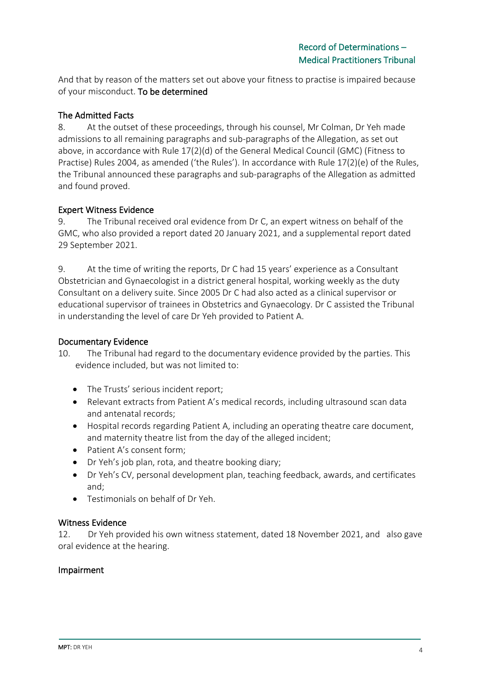And that by reason of the matters set out above your fitness to practise is impaired because of your misconduct. To be determined

## The Admitted Facts

8. At the outset of these proceedings, through his counsel, Mr Colman, Dr Yeh made admissions to all remaining paragraphs and sub-paragraphs of the Allegation, as set out above, in accordance with Rule 17(2)(d) of the General Medical Council (GMC) (Fitness to Practise) Rules 2004, as amended ('the Rules'). In accordance with Rule 17(2)(e) of the Rules, the Tribunal announced these paragraphs and sub-paragraphs of the Allegation as admitted and found proved.

## Expert Witness Evidence

9. The Tribunal received oral evidence from Dr C, an expert witness on behalf of the GMC, who also provided a report dated 20 January 2021, and a supplemental report dated 29 September 2021.

9. At the time of writing the reports, Dr C had 15 years' experience as a Consultant Obstetrician and Gynaecologist in a district general hospital, working weekly as the duty Consultant on a delivery suite. Since 2005 Dr C had also acted as a clinical supervisor or educational supervisor of trainees in Obstetrics and Gynaecology. Dr C assisted the Tribunal in understanding the level of care Dr Yeh provided to Patient A.

## Documentary Evidence

- 10. The Tribunal had regard to the documentary evidence provided by the parties. This evidence included, but was not limited to:
	- The Trusts' serious incident report;
	- Relevant extracts from Patient A's medical records, including ultrasound scan data and antenatal records;
	- Hospital records regarding Patient A, including an operating theatre care document, and maternity theatre list from the day of the alleged incident;
	- Patient A's consent form;
	- Dr Yeh's job plan, rota, and theatre booking diary;
	- Dr Yeh's CV, personal development plan, teaching feedback, awards, and certificates and;
	- Testimonials on behalf of Dr Yeh.

## Witness Evidence

12. Dr Yeh provided his own witness statement, dated 18 November 2021, and also gave oral evidence at the hearing.

## Impairment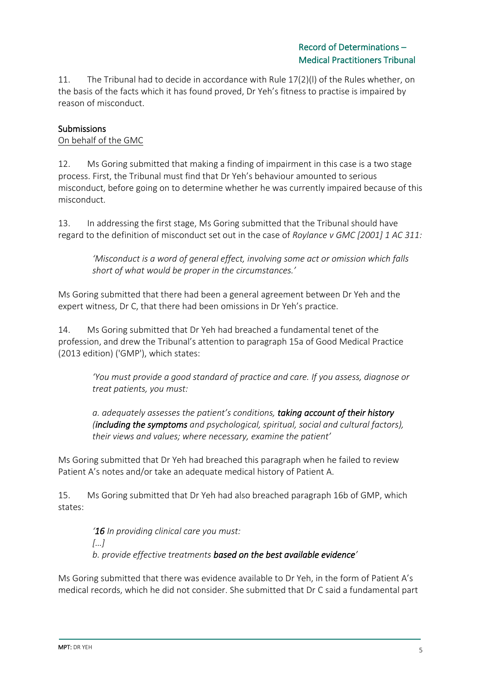11. The Tribunal had to decide in accordance with Rule 17(2)(l) of the Rules whether, on the basis of the facts which it has found proved, Dr Yeh's fitness to practise is impaired by reason of misconduct.

## **Submissions**

#### On behalf of the GMC

12. Ms Goring submitted that making a finding of impairment in this case is a two stage process. First, the Tribunal must find that Dr Yeh's behaviour amounted to serious misconduct, before going on to determine whether he was currently impaired because of this misconduct.

13. In addressing the first stage, Ms Goring submitted that the Tribunal should have regard to the definition of misconduct set out in the case of *Roylance v GMC [2001] 1 AC 311:*

*'Misconduct is a word of general effect, involving some act or omission which falls short of what would be proper in the circumstances.'*

Ms Goring submitted that there had been a general agreement between Dr Yeh and the expert witness, Dr C, that there had been omissions in Dr Yeh's practice.

14. Ms Goring submitted that Dr Yeh had breached a fundamental tenet of the profession, and drew the Tribunal's attention to paragraph 15a of Good Medical Practice (2013 edition) ('GMP'), which states:

> *'You must provide a good standard of practice and care. If you assess, diagnose or treat patients, you must:*

*a. adequately assesses the patient's conditions, taking account of their history (including the symptoms and psychological, spiritual, social and cultural factors), their views and values; where necessary, examine the patient'* 

Ms Goring submitted that Dr Yeh had breached this paragraph when he failed to review Patient A's notes and/or take an adequate medical history of Patient A.

15. Ms Goring submitted that Dr Yeh had also breached paragraph 16b of GMP, which states:

*'16 In providing clinical care you must: […] b. provide effective treatments based on the best available evidence'*

Ms Goring submitted that there was evidence available to Dr Yeh, in the form of Patient A's medical records, which he did not consider. She submitted that Dr C said a fundamental part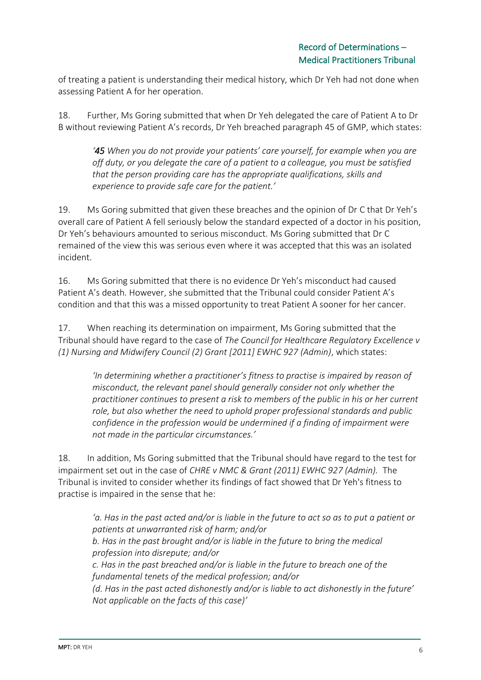of treating a patient is understanding their medical history, which Dr Yeh had not done when assessing Patient A for her operation.

18. Further, Ms Goring submitted that when Dr Yeh delegated the care of Patient A to Dr B without reviewing Patient A's records, Dr Yeh breached paragraph 45 of GMP, which states:

*'45 When you do not provide your patients' care yourself, for example when you are off duty, or you delegate the care of a patient to a colleague, you must be satisfied that the person providing care has the appropriate qualifications, skills and experience to provide safe care for the patient.'* 

19. Ms Goring submitted that given these breaches and the opinion of Dr C that Dr Yeh's overall care of Patient A fell seriously below the standard expected of a doctor in his position, Dr Yeh's behaviours amounted to serious misconduct. Ms Goring submitted that Dr C remained of the view this was serious even where it was accepted that this was an isolated incident.

16. Ms Goring submitted that there is no evidence Dr Yeh's misconduct had caused Patient A's death. However, she submitted that the Tribunal could consider Patient A's condition and that this was a missed opportunity to treat Patient A sooner for her cancer.

17. When reaching its determination on impairment, Ms Goring submitted that the Tribunal should have regard to the case of *The Council for Healthcare Regulatory Excellence v (1) Nursing and Midwifery Council (2) Grant [2011] EWHC 927 (Admin)*, which states:

*'In determining whether a practitioner's fitness to practise is impaired by reason of misconduct, the relevant panel should generally consider not only whether the practitioner continues to present a risk to members of the public in his or her current role, but also whether the need to uphold proper professional standards and public confidence in the profession would be undermined if a finding of impairment were not made in the particular circumstances.'* 

18. In addition, Ms Goring submitted that the Tribunal should have regard to the test for impairment set out in the case of *CHRE v NMC & Grant (2011) EWHC 927 (Admin).* The Tribunal is invited to consider whether its findings of fact showed that Dr Yeh's fitness to practise is impaired in the sense that he:

*'a. Has in the past acted and/or is liable in the future to act so as to put a patient or patients at unwarranted risk of harm; and/or b. Has in the past brought and/or is liable in the future to bring the medical profession into disrepute; and/or c. Has in the past breached and/or is liable in the future to breach one of the fundamental tenets of the medical profession; and/or (d. Has in the past acted dishonestly and/or is liable to act dishonestly in the future' Not applicable on the facts of this case)'*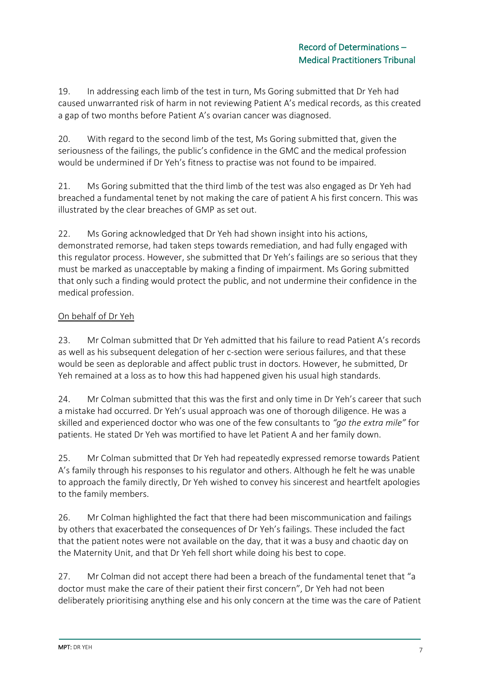19. In addressing each limb of the test in turn, Ms Goring submitted that Dr Yeh had caused unwarranted risk of harm in not reviewing Patient A's medical records, as this created a gap of two months before Patient A's ovarian cancer was diagnosed.

20. With regard to the second limb of the test, Ms Goring submitted that, given the seriousness of the failings, the public's confidence in the GMC and the medical profession would be undermined if Dr Yeh's fitness to practise was not found to be impaired.

21. Ms Goring submitted that the third limb of the test was also engaged as Dr Yeh had breached a fundamental tenet by not making the care of patient A his first concern. This was illustrated by the clear breaches of GMP as set out.

22. Ms Goring acknowledged that Dr Yeh had shown insight into his actions, demonstrated remorse, had taken steps towards remediation, and had fully engaged with this regulator process. However, she submitted that Dr Yeh's failings are so serious that they must be marked as unacceptable by making a finding of impairment. Ms Goring submitted that only such a finding would protect the public, and not undermine their confidence in the medical profession.

## On behalf of Dr Yeh

23. Mr Colman submitted that Dr Yeh admitted that his failure to read Patient A's records as well as his subsequent delegation of her c-section were serious failures, and that these would be seen as deplorable and affect public trust in doctors. However, he submitted, Dr Yeh remained at a loss as to how this had happened given his usual high standards.

24. Mr Colman submitted that this was the first and only time in Dr Yeh's career that such a mistake had occurred. Dr Yeh's usual approach was one of thorough diligence. He was a skilled and experienced doctor who was one of the few consultants to *"go the extra mile"* for patients. He stated Dr Yeh was mortified to have let Patient A and her family down.

25. Mr Colman submitted that Dr Yeh had repeatedly expressed remorse towards Patient A's family through his responses to his regulator and others. Although he felt he was unable to approach the family directly, Dr Yeh wished to convey his sincerest and heartfelt apologies to the family members.

26. Mr Colman highlighted the fact that there had been miscommunication and failings by others that exacerbated the consequences of Dr Yeh's failings. These included the fact that the patient notes were not available on the day, that it was a busy and chaotic day on the Maternity Unit, and that Dr Yeh fell short while doing his best to cope.

27. Mr Colman did not accept there had been a breach of the fundamental tenet that "a doctor must make the care of their patient their first concern", Dr Yeh had not been deliberately prioritising anything else and his only concern at the time was the care of Patient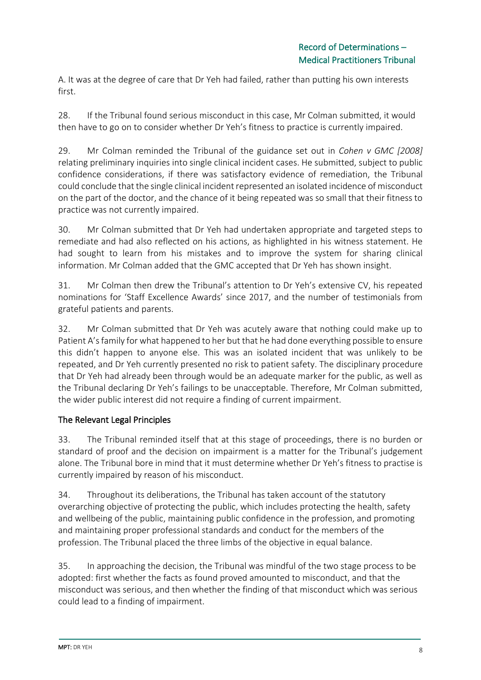A. It was at the degree of care that Dr Yeh had failed, rather than putting his own interests first.

28. If the Tribunal found serious misconduct in this case, Mr Colman submitted, it would then have to go on to consider whether Dr Yeh's fitness to practice is currently impaired.

29. Mr Colman reminded the Tribunal of the guidance set out in *Cohen v GMC [2008]* relating preliminary inquiries into single clinical incident cases. He submitted, subject to public confidence considerations, if there was satisfactory evidence of remediation, the Tribunal could conclude that the single clinical incident represented an isolated incidence of misconduct on the part of the doctor, and the chance of it being repeated was so small that their fitness to practice was not currently impaired.

30. Mr Colman submitted that Dr Yeh had undertaken appropriate and targeted steps to remediate and had also reflected on his actions, as highlighted in his witness statement. He had sought to learn from his mistakes and to improve the system for sharing clinical information. Mr Colman added that the GMC accepted that Dr Yeh has shown insight.

31. Mr Colman then drew the Tribunal's attention to Dr Yeh's extensive CV, his repeated nominations for 'Staff Excellence Awards' since 2017, and the number of testimonials from grateful patients and parents.

32. Mr Colman submitted that Dr Yeh was acutely aware that nothing could make up to Patient A's family for what happened to her but that he had done everything possible to ensure this didn't happen to anyone else. This was an isolated incident that was unlikely to be repeated, and Dr Yeh currently presented no risk to patient safety. The disciplinary procedure that Dr Yeh had already been through would be an adequate marker for the public, as well as the Tribunal declaring Dr Yeh's failings to be unacceptable. Therefore, Mr Colman submitted, the wider public interest did not require a finding of current impairment.

## The Relevant Legal Principles

33. The Tribunal reminded itself that at this stage of proceedings, there is no burden or standard of proof and the decision on impairment is a matter for the Tribunal's judgement alone. The Tribunal bore in mind that it must determine whether Dr Yeh's fitness to practise is currently impaired by reason of his misconduct.

34. Throughout its deliberations, the Tribunal has taken account of the statutory overarching objective of protecting the public, which includes protecting the health, safety and wellbeing of the public, maintaining public confidence in the profession, and promoting and maintaining proper professional standards and conduct for the members of the profession. The Tribunal placed the three limbs of the objective in equal balance.

35. In approaching the decision, the Tribunal was mindful of the two stage process to be adopted: first whether the facts as found proved amounted to misconduct, and that the misconduct was serious, and then whether the finding of that misconduct which was serious could lead to a finding of impairment.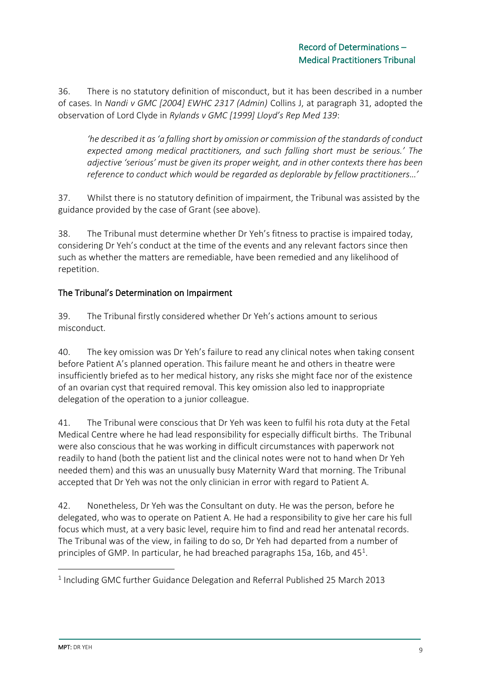36. There is no statutory definition of misconduct, but it has been described in a number of cases. In *Nandi v GMC [2004] EWHC 2317 (Admin)* Collins J, at paragraph 31, adopted the observation of Lord Clyde in *Rylands v GMC [1999] Lloyd's Rep Med 139*:

*'he described it as 'a falling short by omission or commission of the standards of conduct expected among medical practitioners, and such falling short must be serious.' The adjective 'serious' must be given its proper weight, and in other contexts there has been reference to conduct which would be regarded as deplorable by fellow practitioners…'* 

37. Whilst there is no statutory definition of impairment, the Tribunal was assisted by the guidance provided by the case of Grant (see above).

38. The Tribunal must determine whether Dr Yeh's fitness to practise is impaired today, considering Dr Yeh's conduct at the time of the events and any relevant factors since then such as whether the matters are remediable, have been remedied and any likelihood of repetition.

## The Tribunal's Determination on Impairment

39. The Tribunal firstly considered whether Dr Yeh's actions amount to serious misconduct.

40. The key omission was Dr Yeh's failure to read any clinical notes when taking consent before Patient A's planned operation. This failure meant he and others in theatre were insufficiently briefed as to her medical history, any risks she might face nor of the existence of an ovarian cyst that required removal. This key omission also led to inappropriate delegation of the operation to a junior colleague.

41. The Tribunal were conscious that Dr Yeh was keen to fulfil his rota duty at the Fetal Medical Centre where he had lead responsibility for especially difficult births. The Tribunal were also conscious that he was working in difficult circumstances with paperwork not readily to hand (both the patient list and the clinical notes were not to hand when Dr Yeh needed them) and this was an unusually busy Maternity Ward that morning. The Tribunal accepted that Dr Yeh was not the only clinician in error with regard to Patient A.

42. Nonetheless, Dr Yeh was the Consultant on duty. He was the person, before he delegated, who was to operate on Patient A. He had a responsibility to give her care his full focus which must, at a very basic level, require him to find and read her antenatal records. The Tribunal was of the view, in failing to do so, Dr Yeh had departed from a number of principles of GMP. In particular, he had breached paragraphs 15a, 16b, and  $45<sup>1</sup>$ .

<sup>&</sup>lt;sup>1</sup> Including GMC further Guidance Delegation and Referral Published 25 March 2013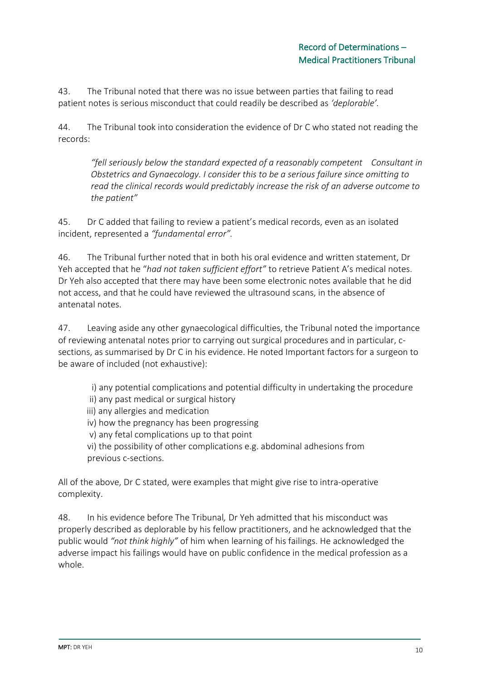43. The Tribunal noted that there was no issue between parties that failing to read patient notes is serious misconduct that could readily be described as *'deplorable'.* 

44. The Tribunal took into consideration the evidence of Dr C who stated not reading the records:

*"fell seriously below the standard expected of a reasonably competent Consultant in Obstetrics and Gynaecology. I consider this to be a serious failure since omitting to read the clinical records would predictably increase the risk of an adverse outcome to the patient"*

45. Dr C added that failing to review a patient's medical records, even as an isolated incident, represented a *"fundamental error".*

46. The Tribunal further noted that in both his oral evidence and written statement, Dr Yeh accepted that he "*had not taken sufficient effort"* to retrieve Patient A's medical notes. Dr Yeh also accepted that there may have been some electronic notes available that he did not access, and that he could have reviewed the ultrasound scans, in the absence of antenatal notes.

47. Leaving aside any other gynaecological difficulties, the Tribunal noted the importance of reviewing antenatal notes prior to carrying out surgical procedures and in particular, csections, as summarised by Dr C in his evidence. He noted Important factors for a surgeon to be aware of included (not exhaustive):

i) any potential complications and potential difficulty in undertaking the procedure

- ii) any past medical or surgical history
- iii) any allergies and medication
- iv) how the pregnancy has been progressing
- v) any fetal complications up to that point

vi) the possibility of other complications e.g. abdominal adhesions from previous c-sections.

All of the above, Dr C stated, were examples that might give rise to intra-operative complexity.

48. In his evidence before The Tribunal*,* Dr Yeh admitted that his misconduct was properly described as deplorable by his fellow practitioners, and he acknowledged that the public would *"not think highly"* of him when learning of his failings. He acknowledged the adverse impact his failings would have on public confidence in the medical profession as a whole.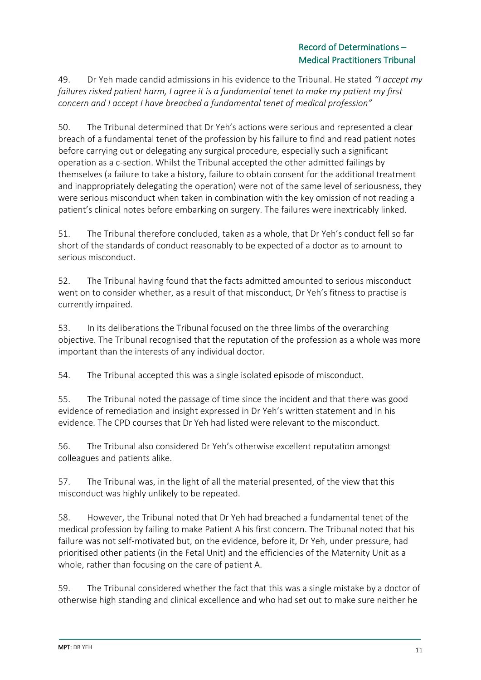## Record of Determinations – Medical Practitioners Tribunal

49. Dr Yeh made candid admissions in his evidence to the Tribunal. He stated *"I accept my failures risked patient harm, I agree it is a fundamental tenet to make my patient my first concern and I accept I have breached a fundamental tenet of medical profession"*

50. The Tribunal determined that Dr Yeh's actions were serious and represented a clear breach of a fundamental tenet of the profession by his failure to find and read patient notes before carrying out or delegating any surgical procedure, especially such a significant operation as a c-section. Whilst the Tribunal accepted the other admitted failings by themselves (a failure to take a history, failure to obtain consent for the additional treatment and inappropriately delegating the operation) were not of the same level of seriousness, they were serious misconduct when taken in combination with the key omission of not reading a patient's clinical notes before embarking on surgery. The failures were inextricably linked.

51. The Tribunal therefore concluded, taken as a whole, that Dr Yeh's conduct fell so far short of the standards of conduct reasonably to be expected of a doctor as to amount to serious misconduct.

52. The Tribunal having found that the facts admitted amounted to serious misconduct went on to consider whether, as a result of that misconduct, Dr Yeh's fitness to practise is currently impaired.

53. In its deliberations the Tribunal focused on the three limbs of the overarching objective. The Tribunal recognised that the reputation of the profession as a whole was more important than the interests of any individual doctor.

54. The Tribunal accepted this was a single isolated episode of misconduct.

55. The Tribunal noted the passage of time since the incident and that there was good evidence of remediation and insight expressed in Dr Yeh's written statement and in his evidence. The CPD courses that Dr Yeh had listed were relevant to the misconduct.

56. The Tribunal also considered Dr Yeh's otherwise excellent reputation amongst colleagues and patients alike.

57. The Tribunal was, in the light of all the material presented, of the view that this misconduct was highly unlikely to be repeated.

58. However, the Tribunal noted that Dr Yeh had breached a fundamental tenet of the medical profession by failing to make Patient A his first concern. The Tribunal noted that his failure was not self-motivated but, on the evidence, before it, Dr Yeh, under pressure, had prioritised other patients (in the Fetal Unit) and the efficiencies of the Maternity Unit as a whole, rather than focusing on the care of patient A.

59. The Tribunal considered whether the fact that this was a single mistake by a doctor of otherwise high standing and clinical excellence and who had set out to make sure neither he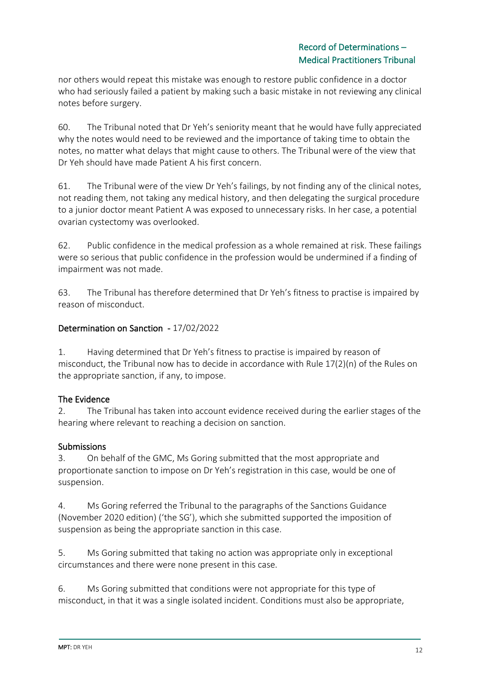nor others would repeat this mistake was enough to restore public confidence in a doctor who had seriously failed a patient by making such a basic mistake in not reviewing any clinical notes before surgery.

60. The Tribunal noted that Dr Yeh's seniority meant that he would have fully appreciated why the notes would need to be reviewed and the importance of taking time to obtain the notes, no matter what delays that might cause to others. The Tribunal were of the view that Dr Yeh should have made Patient A his first concern.

61. The Tribunal were of the view Dr Yeh's failings, by not finding any of the clinical notes, not reading them, not taking any medical history, and then delegating the surgical procedure to a junior doctor meant Patient A was exposed to unnecessary risks. In her case, a potential ovarian cystectomy was overlooked.

62. Public confidence in the medical profession as a whole remained at risk. These failings were so serious that public confidence in the profession would be undermined if a finding of impairment was not made.

63. The Tribunal has therefore determined that Dr Yeh's fitness to practise is impaired by reason of misconduct.

## Determination on Sanction - 17/02/2022

1. Having determined that Dr Yeh's fitness to practise is impaired by reason of misconduct, the Tribunal now has to decide in accordance with Rule 17(2)(n) of the Rules on the appropriate sanction, if any, to impose.

## The Evidence

2. The Tribunal has taken into account evidence received during the earlier stages of the hearing where relevant to reaching a decision on sanction.

## Submissions

3. On behalf of the GMC, Ms Goring submitted that the most appropriate and proportionate sanction to impose on Dr Yeh's registration in this case, would be one of suspension.

4. Ms Goring referred the Tribunal to the paragraphs of the Sanctions Guidance (November 2020 edition) ('the SG'), which she submitted supported the imposition of suspension as being the appropriate sanction in this case.

5. Ms Goring submitted that taking no action was appropriate only in exceptional circumstances and there were none present in this case.

6. Ms Goring submitted that conditions were not appropriate for this type of misconduct, in that it was a single isolated incident. Conditions must also be appropriate,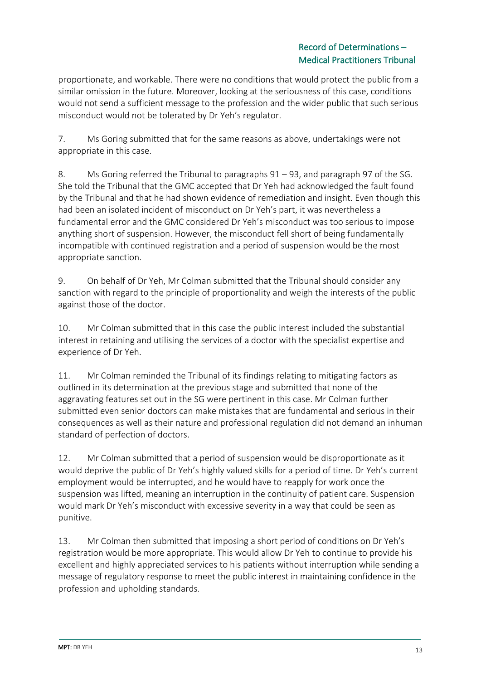## Record of Determinations – Medical Practitioners Tribunal

proportionate, and workable. There were no conditions that would protect the public from a similar omission in the future. Moreover, looking at the seriousness of this case, conditions would not send a sufficient message to the profession and the wider public that such serious misconduct would not be tolerated by Dr Yeh's regulator.

7. Ms Goring submitted that for the same reasons as above, undertakings were not appropriate in this case.

8. Ms Goring referred the Tribunal to paragraphs 91 – 93, and paragraph 97 of the SG. She told the Tribunal that the GMC accepted that Dr Yeh had acknowledged the fault found by the Tribunal and that he had shown evidence of remediation and insight. Even though this had been an isolated incident of misconduct on Dr Yeh's part, it was nevertheless a fundamental error and the GMC considered Dr Yeh's misconduct was too serious to impose anything short of suspension. However, the misconduct fell short of being fundamentally incompatible with continued registration and a period of suspension would be the most appropriate sanction.

9. On behalf of Dr Yeh, Mr Colman submitted that the Tribunal should consider any sanction with regard to the principle of proportionality and weigh the interests of the public against those of the doctor.

10. Mr Colman submitted that in this case the public interest included the substantial interest in retaining and utilising the services of a doctor with the specialist expertise and experience of Dr Yeh.

11. Mr Colman reminded the Tribunal of its findings relating to mitigating factors as outlined in its determination at the previous stage and submitted that none of the aggravating features set out in the SG were pertinent in this case. Mr Colman further submitted even senior doctors can make mistakes that are fundamental and serious in their consequences as well as their nature and professional regulation did not demand an inhuman standard of perfection of doctors.

12. Mr Colman submitted that a period of suspension would be disproportionate as it would deprive the public of Dr Yeh's highly valued skills for a period of time. Dr Yeh's current employment would be interrupted, and he would have to reapply for work once the suspension was lifted, meaning an interruption in the continuity of patient care. Suspension would mark Dr Yeh's misconduct with excessive severity in a way that could be seen as punitive.

13. Mr Colman then submitted that imposing a short period of conditions on Dr Yeh's registration would be more appropriate. This would allow Dr Yeh to continue to provide his excellent and highly appreciated services to his patients without interruption while sending a message of regulatory response to meet the public interest in maintaining confidence in the profession and upholding standards.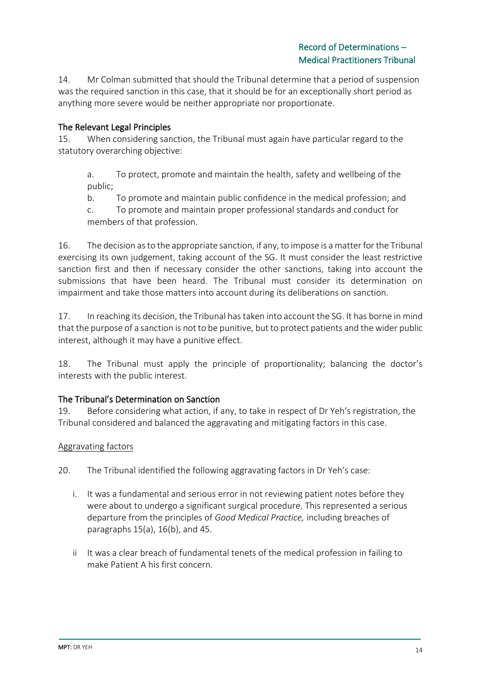14. Mr Colman submitted that should the Tribunal determine that a period of suspension was the required sanction in this case, that it should be for an exceptionally short period as anything more severe would be neither appropriate nor proportionate.

## The Relevant Legal Principles

15. When considering sanction, the Tribunal must again have particular regard to the statutory overarching objective:

a. To protect, promote and maintain the health, safety and wellbeing of the public;

b. To promote and maintain public confidence in the medical profession; and

c. To promote and maintain proper professional standards and conduct for members of that profession.

16. The decision as to the appropriate sanction, if any, to impose is a matter for the Tribunal exercising its own judgement, taking account of the SG. It must consider the least restrictive sanction first and then if necessary consider the other sanctions, taking into account the submissions that have been heard. The Tribunal must consider its determination on impairment and take those matters into account during its deliberations on sanction.

17. In reaching its decision, the Tribunal has taken into account the SG. It has borne in mind that the purpose of a sanction is not to be punitive, but to protect patients and the wider public interest, although it may have a punitive effect.

18. The Tribunal must apply the principle of proportionality; balancing the doctor's interests with the public interest.

## The Tribunal's Determination on Sanction

19. Before considering what action, if any, to take in respect of Dr Yeh's registration, the Tribunal considered and balanced the aggravating and mitigating factors in this case.

## Aggravating factors

20. The Tribunal identified the following aggravating factors in Dr Yeh's case:

- i. It was a fundamental and serious error in not reviewing patient notes before they were about to undergo a significant surgical procedure. This represented a serious departure from the principles of *Good Medical Practice,* including breaches of paragraphs 15(a), 16(b), and 45.
- ii It was a clear breach of fundamental tenets of the medical profession in failing to make Patient A his first concern.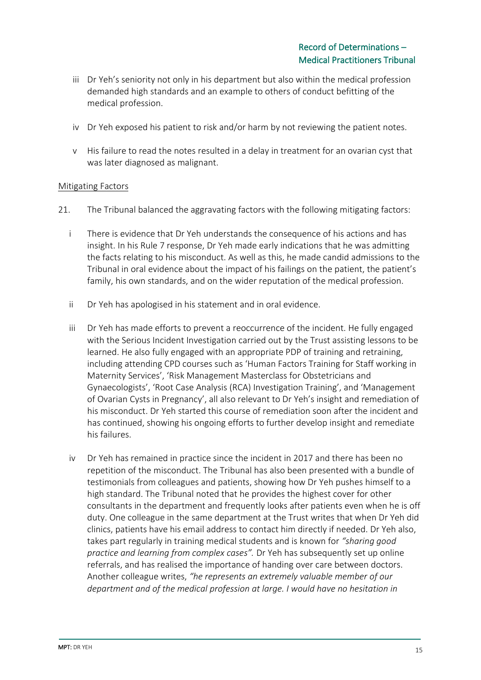- iii Dr Yeh's seniority not only in his department but also within the medical profession demanded high standards and an example to others of conduct befitting of the medical profession.
- iv Dr Yeh exposed his patient to risk and/or harm by not reviewing the patient notes.
- v His failure to read the notes resulted in a delay in treatment for an ovarian cyst that was later diagnosed as malignant.

#### **Mitigating Factors**

- 21. The Tribunal balanced the aggravating factors with the following mitigating factors:
	- i There is evidence that Dr Yeh understands the consequence of his actions and has insight. In his Rule 7 response, Dr Yeh made early indications that he was admitting the facts relating to his misconduct. As well as this, he made candid admissions to the Tribunal in oral evidence about the impact of his failings on the patient, the patient's family, his own standards, and on the wider reputation of the medical profession.
	- ii Dr Yeh has apologised in his statement and in oral evidence.
	- iii Dr Yeh has made efforts to prevent a reoccurrence of the incident. He fully engaged with the Serious Incident Investigation carried out by the Trust assisting lessons to be learned. He also fully engaged with an appropriate PDP of training and retraining, including attending CPD courses such as 'Human Factors Training for Staff working in Maternity Services', 'Risk Management Masterclass for Obstetricians and Gynaecologists', 'Root Case Analysis (RCA) Investigation Training', and 'Management of Ovarian Cysts in Pregnancy', all also relevant to Dr Yeh's insight and remediation of his misconduct. Dr Yeh started this course of remediation soon after the incident and has continued, showing his ongoing efforts to further develop insight and remediate his failures.
	- iv Dr Yeh has remained in practice since the incident in 2017 and there has been no repetition of the misconduct. The Tribunal has also been presented with a bundle of testimonials from colleagues and patients, showing how Dr Yeh pushes himself to a high standard. The Tribunal noted that he provides the highest cover for other consultants in the department and frequently looks after patients even when he is off duty. One colleague in the same department at the Trust writes that when Dr Yeh did clinics, patients have his email address to contact him directly if needed. Dr Yeh also, takes part regularly in training medical students and is known for *"sharing good practice and learning from complex cases".* Dr Yeh has subsequently set up online referrals, and has realised the importance of handing over care between doctors. Another colleague writes, *"he represents an extremely valuable member of our department and of the medical profession at large. I would have no hesitation in*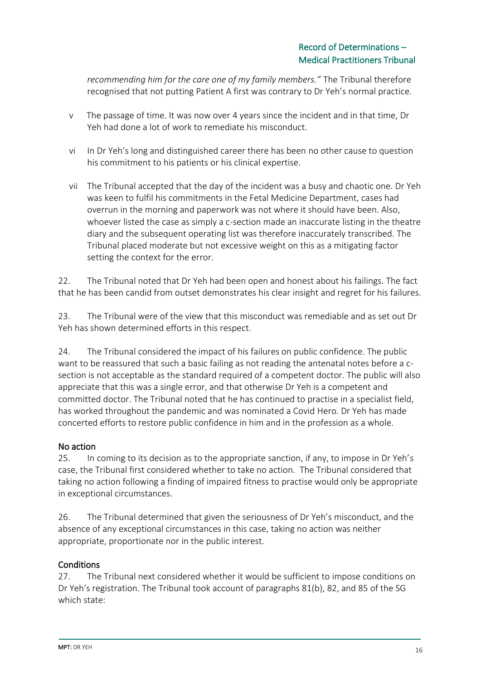*recommending him for the care one of my family members."* The Tribunal therefore recognised that not putting Patient A first was contrary to Dr Yeh's normal practice.

- v The passage of time. It was now over 4 years since the incident and in that time, Dr Yeh had done a lot of work to remediate his misconduct.
- vi In Dr Yeh's long and distinguished career there has been no other cause to question his commitment to his patients or his clinical expertise.
- vii The Tribunal accepted that the day of the incident was a busy and chaotic one. Dr Yeh was keen to fulfil his commitments in the Fetal Medicine Department, cases had overrun in the morning and paperwork was not where it should have been. Also, whoever listed the case as simply a c-section made an inaccurate listing in the theatre diary and the subsequent operating list was therefore inaccurately transcribed. The Tribunal placed moderate but not excessive weight on this as a mitigating factor setting the context for the error.

22. The Tribunal noted that Dr Yeh had been open and honest about his failings. The fact that he has been candid from outset demonstrates his clear insight and regret for his failures.

23. The Tribunal were of the view that this misconduct was remediable and as set out Dr Yeh has shown determined efforts in this respect.

24. The Tribunal considered the impact of his failures on public confidence. The public want to be reassured that such a basic failing as not reading the antenatal notes before a csection is not acceptable as the standard required of a competent doctor. The public will also appreciate that this was a single error, and that otherwise Dr Yeh is a competent and committed doctor. The Tribunal noted that he has continued to practise in a specialist field, has worked throughout the pandemic and was nominated a Covid Hero. Dr Yeh has made concerted efforts to restore public confidence in him and in the profession as a whole.

## No action

25. In coming to its decision as to the appropriate sanction, if any, to impose in Dr Yeh's case, the Tribunal first considered whether to take no action. The Tribunal considered that taking no action following a finding of impaired fitness to practise would only be appropriate in exceptional circumstances.

26. The Tribunal determined that given the seriousness of Dr Yeh's misconduct, and the absence of any exceptional circumstances in this case, taking no action was neither appropriate, proportionate nor in the public interest.

## **Conditions**

27. The Tribunal next considered whether it would be sufficient to impose conditions on Dr Yeh's registration. The Tribunal took account of paragraphs 81(b), 82, and 85 of the SG which state: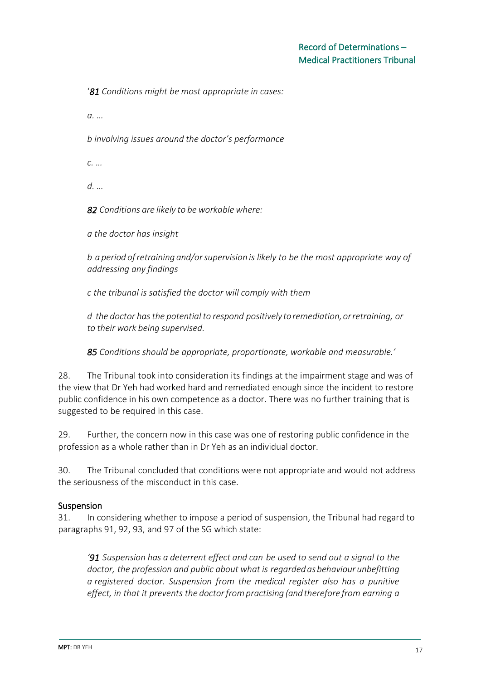'*81 Conditions might be most appropriate in cases:*

*a. …*

*b involving issues around the doctor's performance*

*c. …*

*d. …*

*82 Conditions are likely to be workable where:*

*a the doctor has insight*

*b a period ofretraining and/orsupervision is likely to be the most appropriate way of addressing any findings*

*c the tribunal is satisfied the doctor will comply with them*

*d the doctor hasthe potential to respond positivelytoremediation,orretraining, or to their work being supervised.*

*85 Conditions should be appropriate, proportionate, workable and measurable.'*

28. The Tribunal took into consideration its findings at the impairment stage and was of the view that Dr Yeh had worked hard and remediated enough since the incident to restore public confidence in his own competence as a doctor. There was no further training that is suggested to be required in this case.

29. Further, the concern now in this case was one of restoring public confidence in the profession as a whole rather than in Dr Yeh as an individual doctor.

30. The Tribunal concluded that conditions were not appropriate and would not address the seriousness of the misconduct in this case.

## Suspension

31. In considering whether to impose a period of suspension, the Tribunal had regard to paragraphs 91, 92, 93, and 97 of the SG which state:

*'91 Suspension has a deterrent effect and can be used to send out a signal to the doctor, the profession and public about what is regarded as behaviour unbefitting a registered doctor. Suspension from the medical register also has a punitive effect, in that it prevents the doctorfrompractising (and therefore from earning a*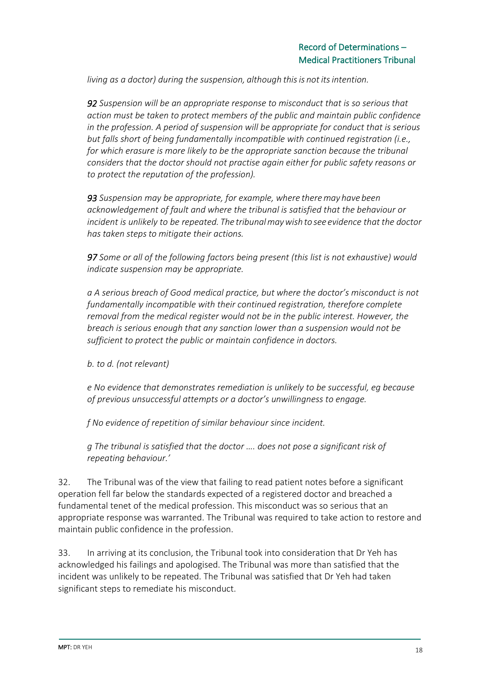*living as a doctor) during the suspension, although thisis not itsintention.*

*92 Suspension will be an appropriate response to misconduct that is so serious that action must be taken to protect members of the public and maintain public confidence in the profession. A period of suspension will be appropriate for conduct that is serious but falls short of being fundamentally incompatible with continued registration (i.e., for which erasure is more likely to be the appropriate sanction because the tribunal considers that the doctor should not practise again either for public safety reasons or to protect the reputation of the profession).*

*93 Suspension may be appropriate, for example, where theremay have been acknowledgement of fault and where the tribunal is satisfied that the behaviour or incident is unlikely to be repeated. The tribunalmaywish to see evidence that the doctor has taken steps to mitigate their actions.*

*97 Some or all of the following factors being present (this list is not exhaustive) would indicate suspension may be appropriate.*

*a A serious breach of Good medical practice, but where the doctor's misconduct is not fundamentally incompatible with their continued registration, therefore complete removal from the medical register would not be in the public interest. However, the breach is serious enough that any sanction lower than a suspension would not be sufficient to protect the public or maintain confidence in doctors.*

*b. to d. (not relevant)*

*e No evidence that demonstrates remediation is unlikely to be successful, eg because of previous unsuccessful attempts or a doctor's unwillingness to engage.*

*f No evidence of repetition of similar behaviour since incident.*

*g The tribunal is satisfied that the doctor …. does not pose a significant risk of repeating behaviour.'*

32. The Tribunal was of the view that failing to read patient notes before a significant operation fell far below the standards expected of a registered doctor and breached a fundamental tenet of the medical profession. This misconduct was so serious that an appropriate response was warranted. The Tribunal was required to take action to restore and maintain public confidence in the profession.

33. In arriving at its conclusion, the Tribunal took into consideration that Dr Yeh has acknowledged his failings and apologised. The Tribunal was more than satisfied that the incident was unlikely to be repeated. The Tribunal was satisfied that Dr Yeh had taken significant steps to remediate his misconduct.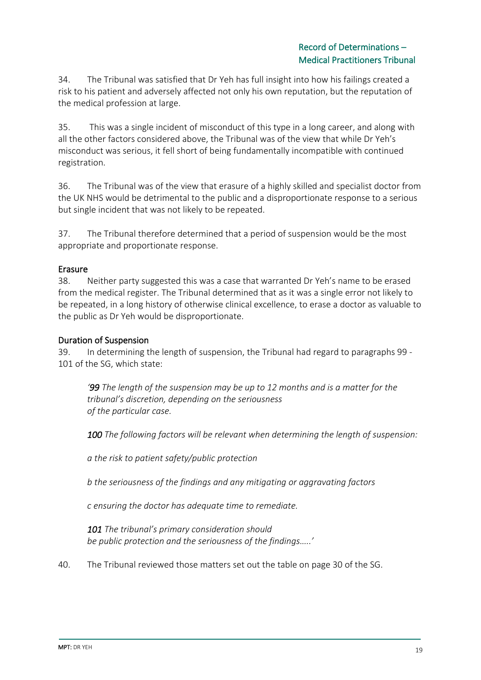34. The Tribunal was satisfied that Dr Yeh has full insight into how his failings created a risk to his patient and adversely affected not only his own reputation, but the reputation of the medical profession at large.

35. This was a single incident of misconduct of this type in a long career, and along with all the other factors considered above, the Tribunal was of the view that while Dr Yeh's misconduct was serious, it fell short of being fundamentally incompatible with continued registration.

36. The Tribunal was of the view that erasure of a highly skilled and specialist doctor from the UK NHS would be detrimental to the public and a disproportionate response to a serious but single incident that was not likely to be repeated.

37. The Tribunal therefore determined that a period of suspension would be the most appropriate and proportionate response.

## Erasure

38. Neither party suggested this was a case that warranted Dr Yeh's name to be erased from the medical register. The Tribunal determined that as it was a single error not likely to be repeated, in a long history of otherwise clinical excellence, to erase a doctor as valuable to the public as Dr Yeh would be disproportionate.

#### Duration of Suspension

39. In determining the length of suspension, the Tribunal had regard to paragraphs 99 - 101 of the SG, which state:

*'99 The length of the suspension may be up to 12 months and is a matter for the tribunal's discretion, depending on the seriousness of the particular case.*

*100 The following factors will be relevant when determining the length of suspension:*

*a the risk to patient safety/public protection*

*b the seriousness of the findings and any mitigating or aggravating factors*

*c ensuring the doctor has adequate time to remediate.*

*101 The tribunal's primary consideration should be public protection and the seriousness of the findings…..'*

40. The Tribunal reviewed those matters set out the table on page 30 of the SG.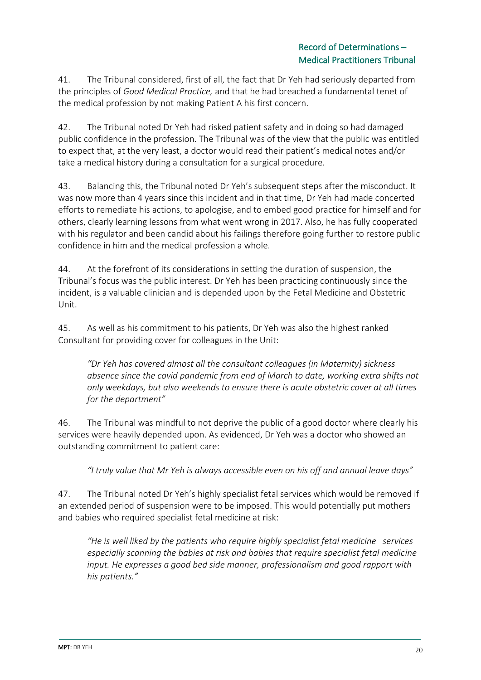41. The Tribunal considered, first of all, the fact that Dr Yeh had seriously departed from the principles of *Good Medical Practice,* and that he had breached a fundamental tenet of the medical profession by not making Patient A his first concern.

42. The Tribunal noted Dr Yeh had risked patient safety and in doing so had damaged public confidence in the profession. The Tribunal was of the view that the public was entitled to expect that, at the very least, a doctor would read their patient's medical notes and/or take a medical history during a consultation for a surgical procedure.

43. Balancing this, the Tribunal noted Dr Yeh's subsequent steps after the misconduct. It was now more than 4 years since this incident and in that time, Dr Yeh had made concerted efforts to remediate his actions, to apologise, and to embed good practice for himself and for others, clearly learning lessons from what went wrong in 2017. Also, he has fully cooperated with his regulator and been candid about his failings therefore going further to restore public confidence in him and the medical profession a whole.

44. At the forefront of its considerations in setting the duration of suspension, the Tribunal's focus was the public interest. Dr Yeh has been practicing continuously since the incident, is a valuable clinician and is depended upon by the Fetal Medicine and Obstetric Unit.

45. As well as his commitment to his patients, Dr Yeh was also the highest ranked Consultant for providing cover for colleagues in the Unit:

*"Dr Yeh has covered almost all the consultant colleagues (in Maternity) sickness absence since the covid pandemic from end of March to date, working extra shifts not only weekdays, but also weekends to ensure there is acute obstetric cover at all times for the department"*

46. The Tribunal was mindful to not deprive the public of a good doctor where clearly his services were heavily depended upon. As evidenced, Dr Yeh was a doctor who showed an outstanding commitment to patient care:

*"I truly value that Mr Yeh is always accessible even on his off and annual leave days"*

47. The Tribunal noted Dr Yeh's highly specialist fetal services which would be removed if an extended period of suspension were to be imposed. This would potentially put mothers and babies who required specialist fetal medicine at risk:

*"He is well liked by the patients who require highly specialist fetal medicine services especially scanning the babies at risk and babies that require specialist fetal medicine input. He expresses a good bed side manner, professionalism and good rapport with his patients."*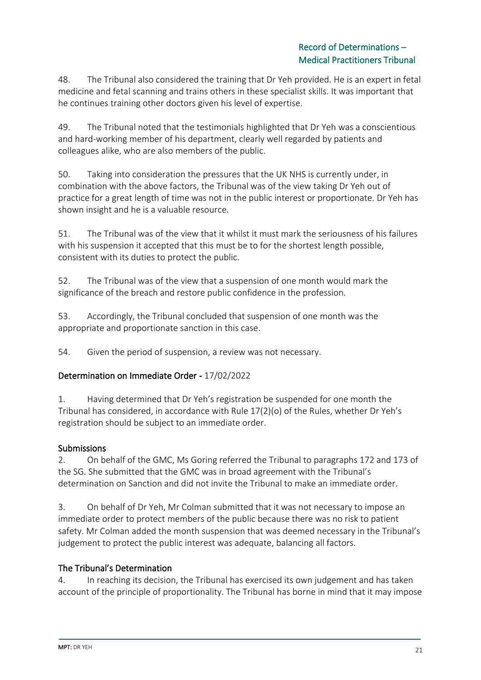48. The Tribunal also considered the training that Dr Yeh provided. He is an expert in fetal medicine and fetal scanning and trains others in these specialist skills. It was important that he continues training other doctors given his level of expertise.

49. The Tribunal noted that the testimonials highlighted that Dr Yeh was a conscientious and hard-working member of his department, clearly well regarded by patients and colleagues alike, who are also members of the public.

50. Taking into consideration the pressures that the UK NHS is currently under, in combination with the above factors, the Tribunal was of the view taking Dr Yeh out of practice for a great length of time was not in the public interest or proportionate. Dr Yeh has shown insight and he is a valuable resource.

51. The Tribunal was of the view that it whilst it must mark the seriousness of his failures with his suspension it accepted that this must be to for the shortest length possible, consistent with its duties to protect the public.

52. The Tribunal was of the view that a suspension of one month would mark the significance of the breach and restore public confidence in the profession.

53. Accordingly, the Tribunal concluded that suspension of one month was the appropriate and proportionate sanction in this case.

54. Given the period of suspension, a review was not necessary.

## Determination on Immediate Order - 17/02/2022

1. Having determined that Dr Yeh's registration be suspended for one month the Tribunal has considered, in accordance with Rule 17(2)(o) of the Rules, whether Dr Yeh's registration should be subject to an immediate order.

## Submissions

2. On behalf of the GMC, Ms Goring referred the Tribunal to paragraphs 172 and 173 of the SG. She submitted that the GMC was in broad agreement with the Tribunal's determination on Sanction and did not invite the Tribunal to make an immediate order.

3. On behalf of Dr Yeh, Mr Colman submitted that it was not necessary to impose an immediate order to protect members of the public because there was no risk to patient safety. Mr Colman added the month suspension that was deemed necessary in the Tribunal's judgement to protect the public interest was adequate, balancing all factors.

## The Tribunal's Determination

4. In reaching its decision, the Tribunal has exercised its own judgement and has taken account of the principle of proportionality. The Tribunal has borne in mind that it may impose